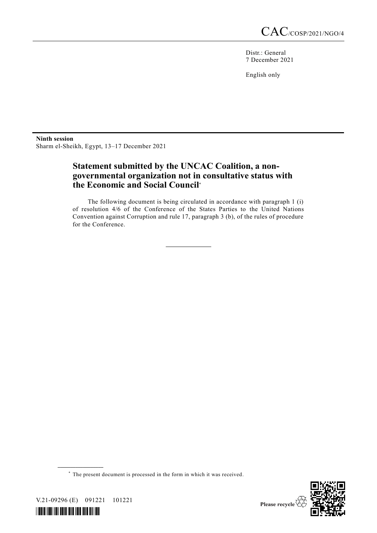Distr.: General 7 December 2021

English only

**Ninth session** Sharm el-Sheikh, Egypt, 13–17 December 2021

## **Statement submitted by the UNCAC Coalition, a nongovernmental organization not in consultative status with the Economic and Social Council**\*

The following document is being circulated in accordance with paragraph 1 (i) of resolution 4/6 of the Conference of the States Parties to the United Nations Convention against Corruption and rule 17, paragraph 3 (b), of the rules of procedure for the Conference.

\* The present document is processed in the form in which it was received.



V.21-09296 (E) 091221 101221

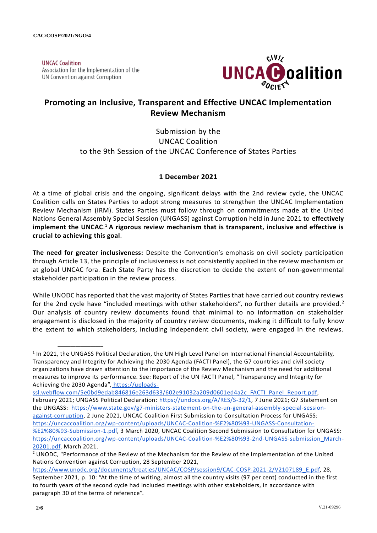**UNCAC Coalition** Association for the Implementation of the UN Convention against Corruption

**\_\_\_\_\_\_\_\_\_\_\_\_\_\_\_\_\_\_**



# **Promoting an Inclusive, Transparent and Effective UNCAC Implementation Review Mechanism**

Submission by the UNCAC Coalition to the 9th Session of the UNCAC Conference of States Parties

### **1 December 2021**

At a time of global crisis and the ongoing, significant delays with the 2nd review cycle, the UNCAC Coalition calls on States Parties to adopt strong measures to strengthen the UNCAC Implementation Review Mechanism (IRM). States Parties must follow through on commitments made at the United Nations General Assembly Special Session (UNGASS) against Corruption held in June 2021 to **effectively implement the UNCAC**. <sup>1</sup> **A rigorous review mechanism that is transparent, inclusive and effective is crucial to achieving this goal**.

**The need for greater inclusiveness:** Despite the Convention's emphasis on civil society participation through Article 13, the principle of inclusiveness is not consistently applied in the review mechanism or at global UNCAC fora. Each State Party has the discretion to decide the extent of non-governmental stakeholder participation in the review process.

While UNODC has reported that the vast majority of States Parties that have carried out country reviews for the 2nd cycle have "included meetings with other stakeholders", no further details are provided.<sup>2</sup> Our analysis of country review documents found that minimal to no information on stakeholder engagement is disclosed in the majority of country review documents, making it difficult to fully know the extent to which stakeholders, including independent civil society, were engaged in the reviews.

[ssl.webflow.com/5e0bd9edab846816e263d633/602e91032a209d0601ed4a2c\\_FACTI\\_Panel\\_Report.pdf,](https://uploads-ssl.webflow.com/5e0bd9edab846816e263d633/602e91032a209d0601ed4a2c_FACTI_Panel_Report.pdf) February 2021; UNGASS Political Declaration: [https://undocs.org/A/RES/S-32/1,](https://undocs.org/A/RES/S-32/1) 7 June 2021; G7 Statement on the UNGASS: [https://www.state.gov/g7-ministers-statement-on-the-un-general-assembly-special-session](https://www.state.gov/g7-ministers-statement-on-the-un-general-assembly-special-session-against-corruption/)[against-corruption,](https://www.state.gov/g7-ministers-statement-on-the-un-general-assembly-special-session-against-corruption/) 2 June 2021, UNCAC Coalition First Submission to Consultation Process for UNGASS[:](https://uncaccoalition.org/wp-content/uploads/UNCAC-Coalition-%E2%80%93-UNGASS-Consultation-%E2%80%93-Submission-1.pdf) [https://uncaccoalition.org/wp-content/uploads/UNCAC-Coalition-%E2%80%93-UNGASS-Consultation-](https://uncaccoalition.org/wp-content/uploads/UNCAC-Coalition-%E2%80%93-UNGASS-Consultation-%E2%80%93-Submission-1.pdf) [%E2%80%93-Submission-1.pdf,](https://uncaccoalition.org/wp-content/uploads/UNCAC-Coalition-%E2%80%93-UNGASS-Consultation-%E2%80%93-Submission-1.pdf) 3 March 2020, UNCAC Coalition Second Submission to Consultation for UNGASS[:](https://uncaccoalition.org/wp-content/uploads/UNCAC-Coalition-%E2%80%93-2nd-UNGASS-submission_March-20201.pdf) [https://uncaccoalition.org/wp-content/uploads/UNCAC-Coalition-%E2%80%93-2nd-UNGASS-submission\\_March-](https://uncaccoalition.org/wp-content/uploads/UNCAC-Coalition-%E2%80%93-2nd-UNGASS-submission_March-20201.pdf)[20201.pdf,](https://uncaccoalition.org/wp-content/uploads/UNCAC-Coalition-%E2%80%93-2nd-UNGASS-submission_March-20201.pdf) March 2021.

<sup>&</sup>lt;sup>1</sup> In 2021, the UNGASS Political Declaration, the UN High Level Panel on International Financial Accountability, Transparency and Integrity for Achieving the 2030 Agenda (FACTI Panel), the G7 countries and civil society organizations have drawn attention to the importance of the Review Mechanism and the need for additional measures to improve its performance. See: Report of the UN FACTI Panel, "Transparency and Integrity for Achieving the 2030 Agenda", [https://uploads-](https://uploads-ssl.webflow.com/5e0bd9edab846816e263d633/602e91032a209d0601ed4a2c_FACTI_Panel_Report.pdf)

<sup>&</sup>lt;sup>2</sup> UNODC, "Performance of the Review of the Mechanism for the Review of the Implementation of the United Nations Convention against Corruption, 28 September 2021,

[https://www.unodc.org/documents/treaties/UNCAC/COSP/session9/CAC-COSP-2021-2/V2107189\\_E.pdf,](https://www.unodc.org/documents/treaties/UNCAC/COSP/session9/CAC-COSP-2021-2/V2107189_E.pdf) 28, September 2021, p. 10: "At the time of writing, almost all the country visits (97 per cent) conducted in the first to fourth years of the second cycle had included meetings with other stakeholders, in accordance with paragraph 30 of the terms of reference".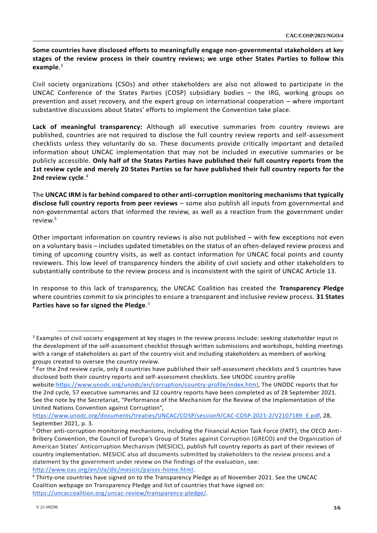**Some countries have disclosed efforts to meaningfully engage non-governmental stakeholders at key stages of the review process in their country reviews; we urge other States Parties to follow this example**. 3

Civil society organizations (CSOs) and other stakeholders are also not allowed to participate in the UNCAC Conference of the States Parties (COSP) subsidiary bodies – the IRG, working groups on prevention and asset recovery, and the expert group on international cooperation – where important substantive discussions about States' efforts to implement the Convention take place.

**Lack of meaningful transparency:** Although all executive summaries from country reviews are published, countries are not required to disclose the full country review reports and self-assessment checklists unless they voluntarily do so. These documents provide critically important and detailed information about UNCAC implementation that may not be included in executive summaries or be publicly accessible. **Only half of the States Parties have published their full country reports from the 1st review cycle and merely 20 States Parties so far have published their full country reports for the 2nd review cycle**. 4

The **UNCAC IRM is far behind compared to other anti-corruption monitoring mechanisms that typically disclose full country reports from peer reviews** – some also publish all inputs from governmental and non-governmental actors that informed the review, as well as a reaction from the government under review.<sup>5</sup>

Other important information on country reviews is also not published – with few exceptions not even on a voluntary basis – includes updated timetables on the status of an often-delayed review process and timing of upcoming country visits, as well as contact information for UNCAC focal points and county reviewers. This low level of transparency hinders the ability of civil society and other stakeholders to substantially contribute to the review process and is inconsistent with the spirit of UNCAC Article 13.

In response to this lack of transparency, the UNCAC Coalition has created the **Transparency Pledge** where countries commit to six principles to ensure a transparent and inclusive review process. **31 States Parties have so far signed the Pledge**. 6

<sup>&</sup>lt;sup>3</sup> Examples of civil society engagement at key stages in the review process include: seeking stakeholder input in the development of the self-assessment checklist through written submissions and workshops, holding meetings with a range of stakeholders as part of the country visit and including stakeholders as members of working groups created to oversee the country review.

<sup>&</sup>lt;sup>4</sup> For the 2nd review cycle, only 8 countries have published their self-assessment checklists and 5 countries have disclosed both their country reports and self-assessment checklists. See UNODC country profile website[:https://www.unodc.org/unodc/en/corruption/country-profile/index.html,](https://www.unodc.org/unodc/en/corruption/country-profile/index.html) The UNODC reports that for the 2nd cycle, 57 executive summaries and 32 country reports have been completed as of 28 September 2021. See the note by the Secretariat, "Performance of the Mechanism for the Review of the Implementation of the United Nations Convention against Corruption",

[https://www.unodc.org/documents/treaties/UNCAC/COSP/session9/CAC-COSP-2021-2/V2107189\\_E.pdf,](https://www.unodc.org/documents/treaties/UNCAC/COSP/session9/CAC-COSP-2021-2/V2107189_E.pdf) 28, September 2021, p. 3.

<sup>5</sup> Other anti-corruption monitoring mechanisms, including the Financial Action Task Force (FATF), the OECD Anti-Bribery Convention, the Council of Europe's Group of States against Corruption (GRECO) and the Organization of American States' Anticorruption Mechanism (MESICIC), publish full country reports as part of their reviews of country implementation. MESICIC also all documents submitted by stakeholders to the review process and a statement by the government under review on the findings of the evaluation, see: [http://www.oas.org/en/sla/dlc/mesicic/paises-home.html.](http://www.oas.org/en/sla/dlc/mesicic/paises-home.html)

<sup>6</sup> Thirty-one countries have signed on to the Transparency Pledge as of November 2021. See the UNCAC Coalition webpage on Transparency Pledge and list of countries that have signed on: [https://uncaccoalition.org/uncac-review/transparency-pledge/.](https://uncaccoalition.org/uncac-review/transparency-pledge/)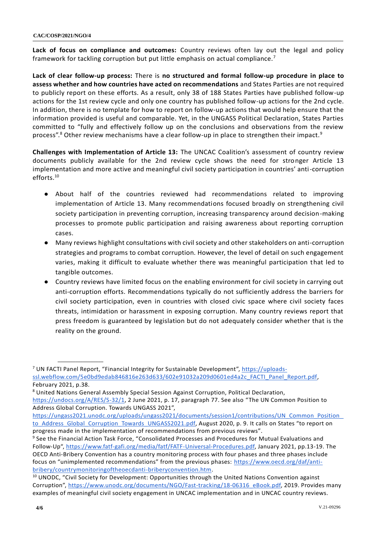**Lack of focus on compliance and outcomes:** Country reviews often lay out the legal and policy framework for tackling corruption but put little emphasis on actual compliance.<sup>7</sup>

**Lack of clear follow-up process:** There is **no structured and formal follow-up procedure in place to assess whether and how countries have acted on recommendations** and States Parties are not required to publicly report on these efforts. As a result, only 38 of 188 States Parties have published follow-up actions for the 1st review cycle and only one country has published follow-up actions for the 2nd cycle. In addition, there is no template for how to report on follow-up actions that would help ensure that the information provided is useful and comparable. Yet, in the UNGASS Political Declaration, States Parties committed to "fully and effectively follow up on the conclusions and observations from the review process".<sup>8</sup> Other review mechanisms have a clear follow-up in place to strengthen their impact.<sup>9</sup>

**Challenges with Implementation of Article 13:** The UNCAC Coalition's assessment of country review documents publicly available for the 2nd review cycle shows the need for stronger Article 13 implementation and more active and meaningful civil society participation in countries' anti-corruption efforts.<sup>10</sup>

- About half of the countries reviewed had recommendations related to improving implementation of Article 13. Many recommendations focused broadly on strengthening civil society participation in preventing corruption, increasing transparency around decision-making processes to promote public participation and raising awareness about reporting corruption cases.
- Many reviews highlight consultations with civil society and other stakeholders on anti-corruption strategies and programs to combat corruption. However, the level of detail on such engagement varies, making it difficult to evaluate whether there was meaningful participation that led to tangible outcomes.
- Country reviews have limited focus on the enabling environment for civil society in carrying out anti-corruption efforts. Recommendations typically do not sufficiently address the barriers for civil society participation, even in countries with closed civic space where civil society faces threats, intimidation or harassment in exposing corruption. Many country reviews report that press freedom is guaranteed by legislation but do not adequately consider whether that is the reality on the ground.

<sup>&</sup>lt;sup>7</sup> UN FACTI Panel Report, "Financial Integrity for Sustainable Development", [https://uploads](https://uploads-ssl.webflow.com/5e0bd9edab846816e263d633/602e91032a209d0601ed4a2c_FACTI_Panel_Report.pdf)[ssl.webflow.com/5e0bd9edab846816e263d633/602e91032a209d0601ed4a2c\\_FACTI\\_Panel\\_Report.pdf,](https://uploads-ssl.webflow.com/5e0bd9edab846816e263d633/602e91032a209d0601ed4a2c_FACTI_Panel_Report.pdf) February 2021, p.38.

<sup>&</sup>lt;sup>8</sup> United Nations General Assembly Special Session Against Corruption, Political Declaration,

[https://undocs.org/A/RES/S-32/1,](https://undocs.org/A/RES/S-32/1) 2 June 2021, p. 17, paragraph 77. See also "The UN Common Position to Address Global Corruption. Towards UNGASS 2021",

https://ungass2021.unodc.org/uploads/ungass2021/documents/session1/contributions/UN\_Common\_Position [to\\_Address\\_Global\\_Corruption\\_Towards\\_UNGASS2021.pdf,](https://ungass2021.unodc.org/uploads/ungass2021/documents/session1/contributions/UN_Common_Position_to_Address_Global_Corruption_Towards_UNGASS2021.pdf) August 2020, p. 9. It calls on States "to report on progress made in the implementation of recommendations from previous reviews".

<sup>&</sup>lt;sup>9</sup> See the Financial Action Task Force, "Consolidated Processes and Procedures for Mutual Evaluations and Follow-Up", [https://www.fatf-gafi.org/media/fatf/FATF-Universal-Procedures.pdf,](https://www.fatf-gafi.org/media/fatf/FATF-Universal-Procedures.pdf) January 2021, pp.13-19. The OECD Anti-Bribery Convention has a country monitoring process with four phases and three phases include focus on "unimplemented recommendations" from the previous phases: [https://www.oecd.org/daf/anti](https://www.oecd.org/daf/anti-bribery/countrymonitoringoftheoecdanti-briberyconvention.htm)[bribery/countrymonitoringoftheoecdanti-briberyconvention.htm.](https://www.oecd.org/daf/anti-bribery/countrymonitoringoftheoecdanti-briberyconvention.htm)

 $10$  UNODC, "Civil Society for Development: Opportunities through the United Nations Convention against Corruption", [https://www.unodc.org/documents/NGO/Fast-tracking/18-06316\\_eBook.pdf,](https://www.unodc.org/documents/NGO/Fast-tracking/18-06316_eBook.pdf) 2019. Provides many examples of meaningful civil society engagement in UNCAC implementation and in UNCAC country reviews.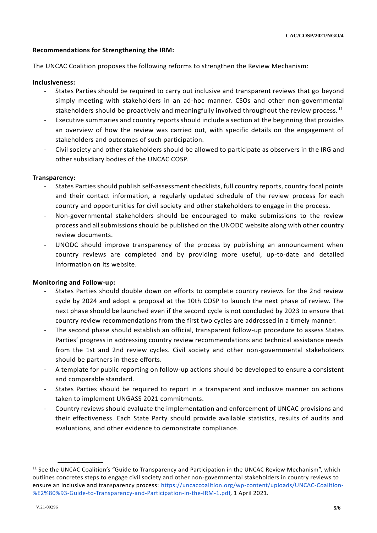#### **Recommendations for Strengthening the IRM:**

The UNCAC Coalition proposes the following reforms to strengthen the Review Mechanism:

#### **Inclusiveness:**

- States Parties should be required to carry out inclusive and transparent reviews that go beyond simply meeting with stakeholders in an ad-hoc manner. CSOs and other non-governmental stakeholders should be proactively and meaningfully involved throughout the review process.  $^{11}$
- Executive summaries and country reports should include a section at the beginning that provides an overview of how the review was carried out, with specific details on the engagement of stakeholders and outcomes of such participation.
- Civil society and other stakeholders should be allowed to participate as observers in the IRG and other subsidiary bodies of the UNCAC COSP.

#### **Transparency:**

- States Parties should publish self-assessment checklists, full country reports, country focal points and their contact information, a regularly updated schedule of the review process for each country and opportunities for civil society and other stakeholders to engage in the process.
- Non-governmental stakeholders should be encouraged to make submissions to the review process and all submissions should be published on the UNODC website along with other country review documents.
- UNODC should improve transparency of the process by publishing an announcement when country reviews are completed and by providing more useful, up-to-date and detailed information on its website.

#### **Monitoring and Follow-up:**

- States Parties should double down on efforts to complete country reviews for the 2nd review cycle by 2024 and adopt a proposal at the 10th COSP to launch the next phase of review. The next phase should be launched even if the second cycle is not concluded by 2023 to ensure that country review recommendations from the first two cycles are addressed in a timely manner.
- The second phase should establish an official, transparent follow-up procedure to assess States Parties' progress in addressing country review recommendations and technical assistance needs from the 1st and 2nd review cycles. Civil society and other non-governmental stakeholders should be partners in these efforts.
- A template for public reporting on follow-up actions should be developed to ensure a consistent and comparable standard.
- States Parties should be required to report in a transparent and inclusive manner on actions taken to implement UNGASS 2021 commitments.
- Country reviews should evaluate the implementation and enforcement of UNCAC provisions and their effectiveness. Each State Party should provide available statistics, results of audits and evaluations, and other evidence to demonstrate compliance.

<sup>&</sup>lt;sup>11</sup> See the UNCAC Coalition's "Guide to Transparency and Participation in the UNCAC Review Mechanism", which outlines concretes steps to engage civil society and other non-governmental stakeholders in country reviews to ensure an inclusive and transparency process: [https://uncaccoalition.org/wp-content/uploads/UNCAC-Coalition-](https://uncaccoalition.org/wp-content/uploads/UNCAC-Coalition-%E2%80%93-Guide-to-Transparency-and-Participation-in-the-IRM-1.pdf) [%E2%80%93-Guide-to-Transparency-and-Participation-in-the-IRM-1.pdf,](https://uncaccoalition.org/wp-content/uploads/UNCAC-Coalition-%E2%80%93-Guide-to-Transparency-and-Participation-in-the-IRM-1.pdf) 1 April 2021.